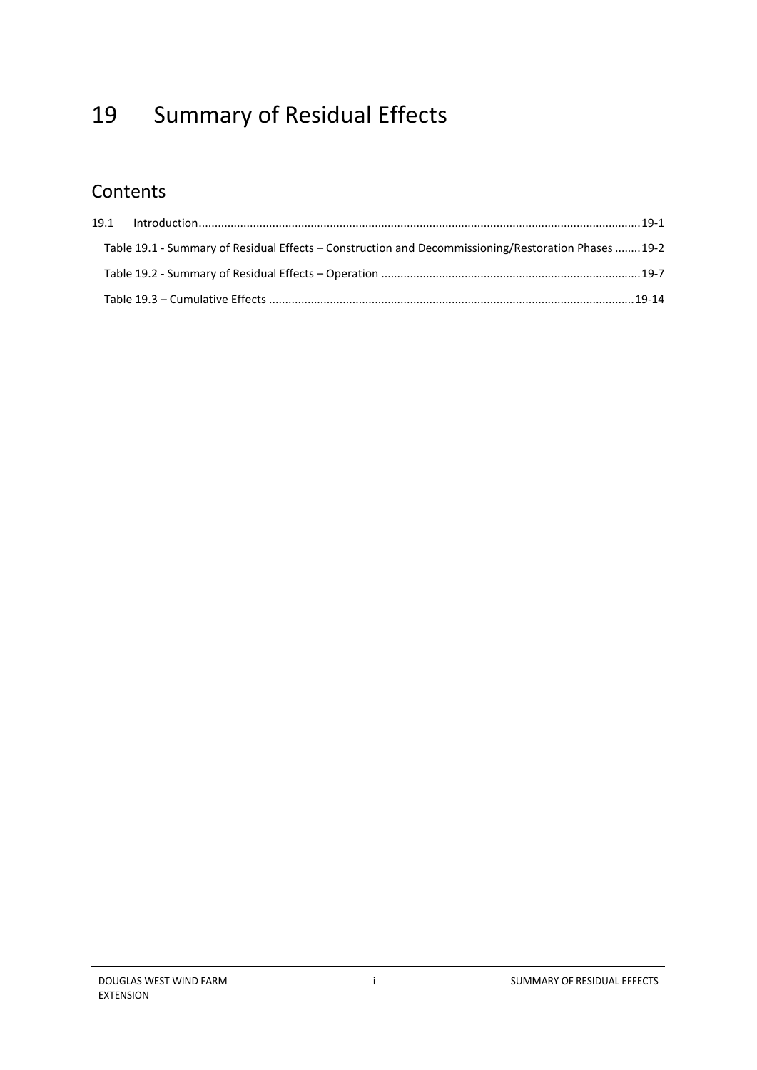# 19 Summary of Residual Effects

## **Contents**

| Table 19.1 - Summary of Residual Effects – Construction and Decommissioning/Restoration Phases 19-2 |  |
|-----------------------------------------------------------------------------------------------------|--|
|                                                                                                     |  |
|                                                                                                     |  |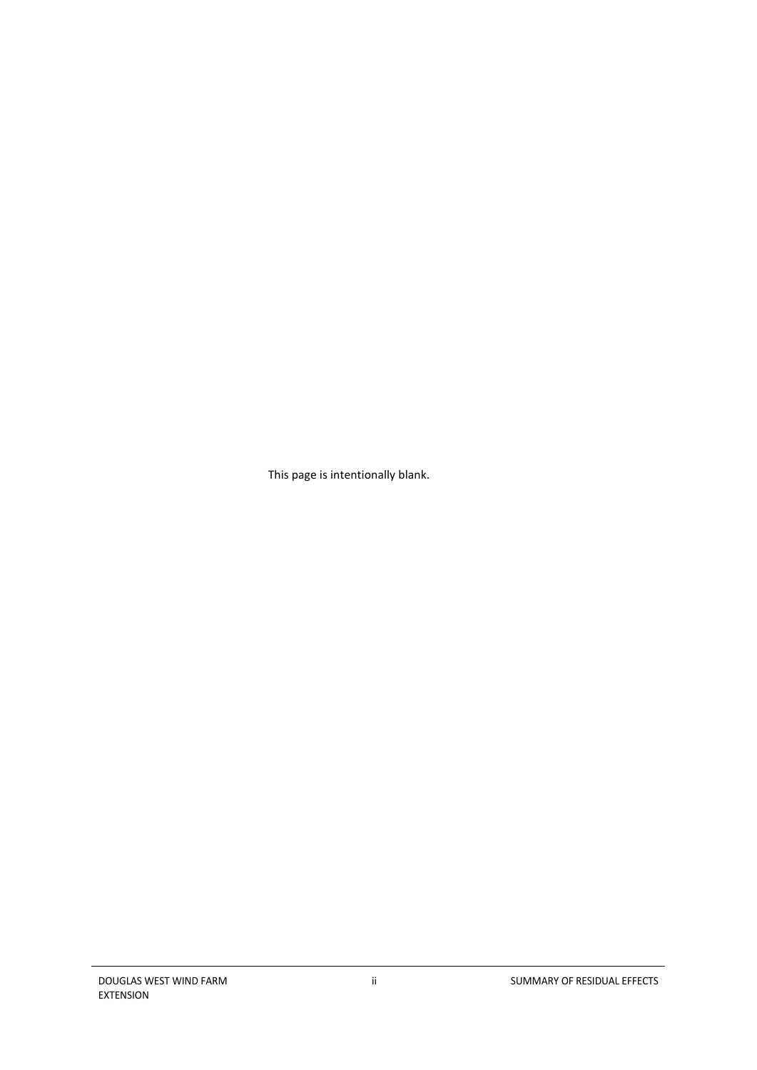This page is intentionally blank.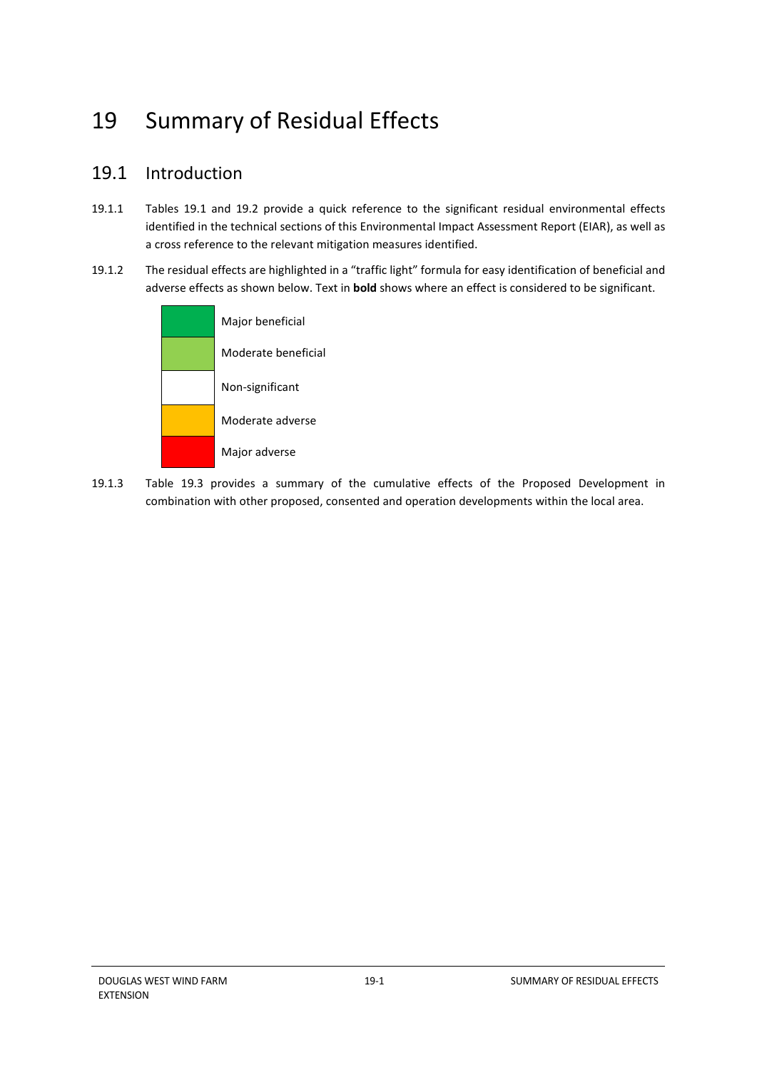## 19 Summary of Residual Effects

## <span id="page-2-0"></span>19.1 Introduction

- 19.1.1 Tables 19.1 and 19.2 provide a quick reference to the significant residual environmental effects identified in the technical sections of this Environmental Impact Assessment Report (EIAR), as well as a cross reference to the relevant mitigation measures identified.
- 19.1.2 The residual effects are highlighted in a "traffic light" formula for easy identification of beneficial and adverse effects as shown below. Text in **bold** shows where an effect is considered to be significant.



19.1.3 Table 19.3 provides a summary of the cumulative effects of the Proposed Development in combination with other proposed, consented and operation developments within the local area.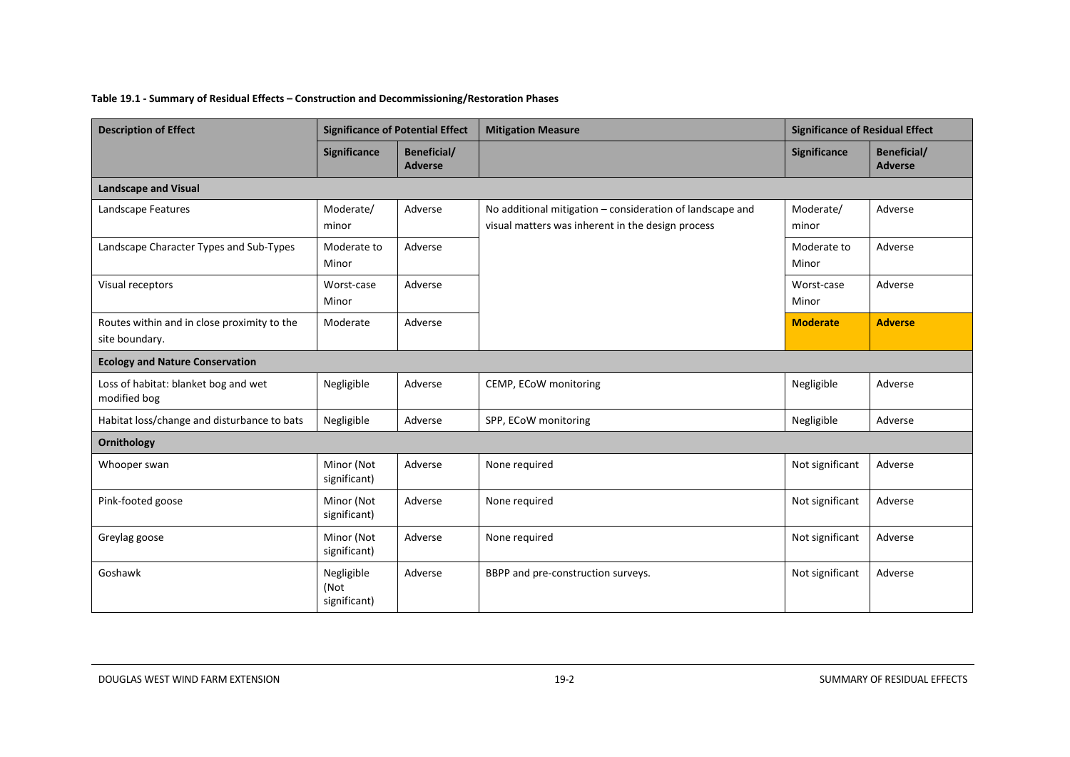### **Table 19.1 - Summary of Residual Effects – Construction and Decommissioning/Restoration Phases**

<span id="page-3-0"></span>

| <b>Description of Effect</b>                                  | <b>Significance of Potential Effect</b> |                               | <b>Mitigation Measure</b>                                                                                      | <b>Significance of Residual Effect</b> |                               |
|---------------------------------------------------------------|-----------------------------------------|-------------------------------|----------------------------------------------------------------------------------------------------------------|----------------------------------------|-------------------------------|
|                                                               | Significance                            | Beneficial/<br><b>Adverse</b> |                                                                                                                | Significance                           | Beneficial/<br><b>Adverse</b> |
| <b>Landscape and Visual</b>                                   |                                         |                               |                                                                                                                |                                        |                               |
| Landscape Features                                            | Moderate/<br>minor                      | Adverse                       | No additional mitigation - consideration of landscape and<br>visual matters was inherent in the design process | Moderate/<br>minor                     | Adverse                       |
| Landscape Character Types and Sub-Types                       | Moderate to<br>Minor                    | Adverse                       |                                                                                                                | Moderate to<br>Minor                   | Adverse                       |
| Visual receptors                                              | Worst-case<br>Minor                     | Adverse                       |                                                                                                                | Worst-case<br>Minor                    | Adverse                       |
| Routes within and in close proximity to the<br>site boundary. | Moderate                                | Adverse                       |                                                                                                                | <b>Moderate</b>                        | <b>Adverse</b>                |
| <b>Ecology and Nature Conservation</b>                        |                                         |                               |                                                                                                                |                                        |                               |
| Loss of habitat: blanket bog and wet<br>modified bog          | Negligible                              | Adverse                       | CEMP, ECoW monitoring                                                                                          | Negligible                             | Adverse                       |
| Habitat loss/change and disturbance to bats                   | Negligible                              | Adverse                       | SPP, ECoW monitoring                                                                                           | Negligible                             | Adverse                       |
| <b>Ornithology</b>                                            |                                         |                               |                                                                                                                |                                        |                               |
| Whooper swan                                                  | Minor (Not<br>significant)              | Adverse                       | None required                                                                                                  | Not significant                        | Adverse                       |
| Pink-footed goose                                             | Minor (Not<br>significant)              | Adverse                       | None required                                                                                                  | Not significant                        | Adverse                       |
| Greylag goose                                                 | Minor (Not<br>significant)              | Adverse                       | None required                                                                                                  | Not significant                        | Adverse                       |
| Goshawk                                                       | Negligible<br>(Not<br>significant)      | Adverse                       | BBPP and pre-construction surveys.                                                                             | Not significant                        | Adverse                       |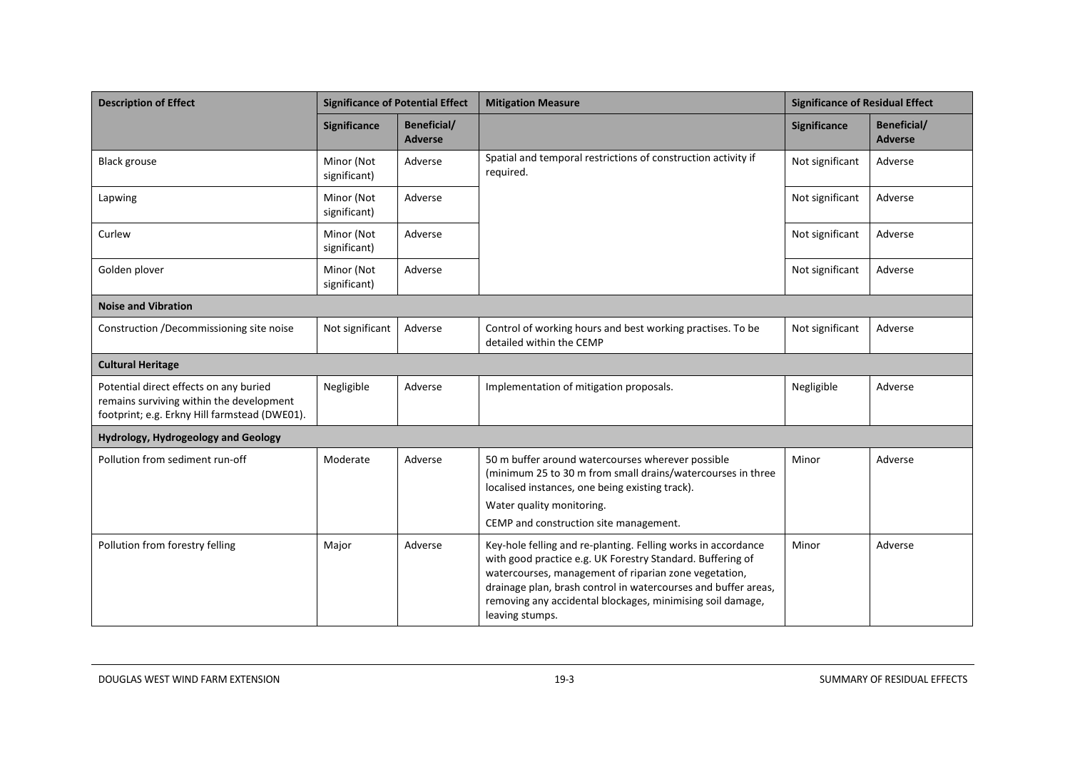| <b>Description of Effect</b>                                                                                                        | <b>Significance of Potential Effect</b> |                               | <b>Mitigation Measure</b>                                                                                                                                                                                                                                                                                                               | <b>Significance of Residual Effect</b> |                               |
|-------------------------------------------------------------------------------------------------------------------------------------|-----------------------------------------|-------------------------------|-----------------------------------------------------------------------------------------------------------------------------------------------------------------------------------------------------------------------------------------------------------------------------------------------------------------------------------------|----------------------------------------|-------------------------------|
|                                                                                                                                     | Significance                            | Beneficial/<br><b>Adverse</b> |                                                                                                                                                                                                                                                                                                                                         | <b>Significance</b>                    | Beneficial/<br><b>Adverse</b> |
| <b>Black grouse</b>                                                                                                                 | Minor (Not<br>significant)              | Adverse                       | Spatial and temporal restrictions of construction activity if<br>required.                                                                                                                                                                                                                                                              | Not significant                        | Adverse                       |
| Lapwing                                                                                                                             | Minor (Not<br>significant)              | Adverse                       |                                                                                                                                                                                                                                                                                                                                         | Not significant                        | Adverse                       |
| Curlew                                                                                                                              | Minor (Not<br>significant)              | Adverse                       |                                                                                                                                                                                                                                                                                                                                         | Not significant                        | Adverse                       |
| Golden plover                                                                                                                       | Minor (Not<br>significant)              | Adverse                       |                                                                                                                                                                                                                                                                                                                                         | Not significant                        | Adverse                       |
| <b>Noise and Vibration</b>                                                                                                          |                                         |                               |                                                                                                                                                                                                                                                                                                                                         |                                        |                               |
| Construction /Decommissioning site noise                                                                                            | Not significant                         | Adverse                       | Control of working hours and best working practises. To be<br>detailed within the CEMP                                                                                                                                                                                                                                                  | Not significant                        | Adverse                       |
| <b>Cultural Heritage</b>                                                                                                            |                                         |                               |                                                                                                                                                                                                                                                                                                                                         |                                        |                               |
| Potential direct effects on any buried<br>remains surviving within the development<br>footprint; e.g. Erkny Hill farmstead (DWE01). | Negligible                              | Adverse                       | Implementation of mitigation proposals.                                                                                                                                                                                                                                                                                                 | Negligible                             | Adverse                       |
| Hydrology, Hydrogeology and Geology                                                                                                 |                                         |                               |                                                                                                                                                                                                                                                                                                                                         |                                        |                               |
| Pollution from sediment run-off                                                                                                     | Moderate                                | Adverse                       | 50 m buffer around watercourses wherever possible<br>(minimum 25 to 30 m from small drains/watercourses in three<br>localised instances, one being existing track).<br>Water quality monitoring.<br>CEMP and construction site management.                                                                                              | Minor                                  | Adverse                       |
| Pollution from forestry felling                                                                                                     | Major                                   | Adverse                       | Key-hole felling and re-planting. Felling works in accordance<br>with good practice e.g. UK Forestry Standard. Buffering of<br>watercourses, management of riparian zone vegetation,<br>drainage plan, brash control in watercourses and buffer areas,<br>removing any accidental blockages, minimising soil damage,<br>leaving stumps. | Minor                                  | Adverse                       |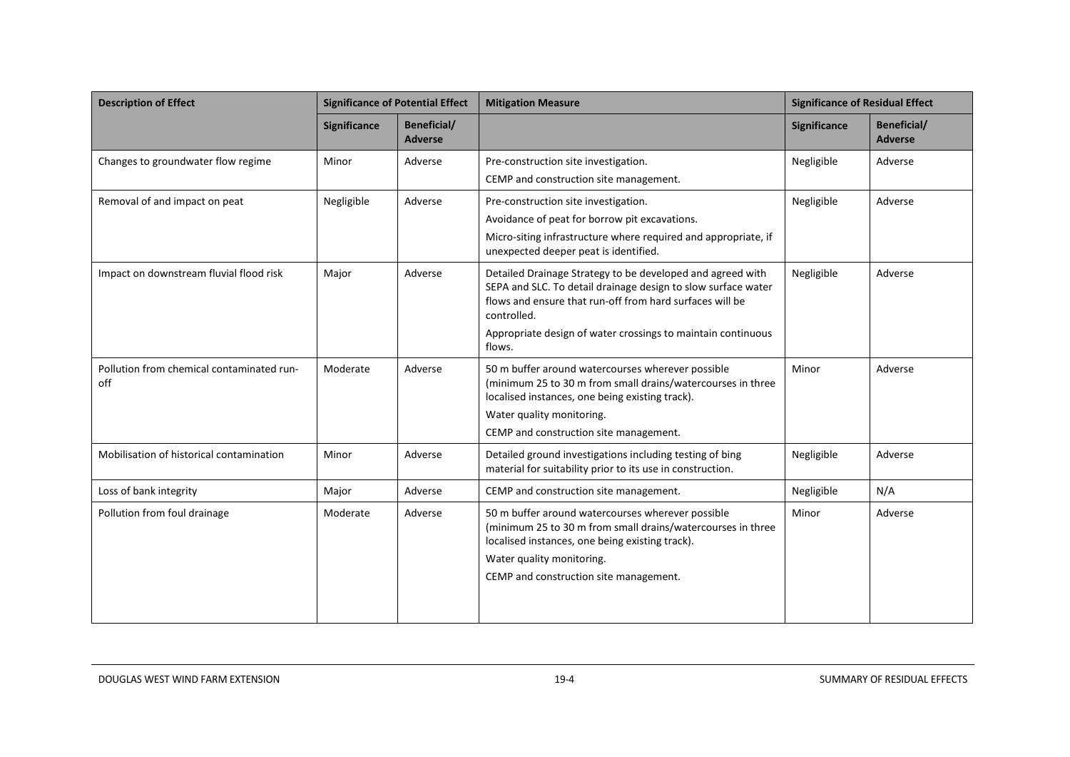| <b>Description of Effect</b>                     | <b>Significance of Potential Effect</b> |                               | <b>Mitigation Measure</b>                                                                                                                                                                                                                                                        | <b>Significance of Residual Effect</b> |                               |
|--------------------------------------------------|-----------------------------------------|-------------------------------|----------------------------------------------------------------------------------------------------------------------------------------------------------------------------------------------------------------------------------------------------------------------------------|----------------------------------------|-------------------------------|
|                                                  | Significance                            | Beneficial/<br><b>Adverse</b> |                                                                                                                                                                                                                                                                                  | <b>Significance</b>                    | Beneficial/<br><b>Adverse</b> |
| Changes to groundwater flow regime               | Minor                                   | Adverse                       | Pre-construction site investigation.<br>CEMP and construction site management.                                                                                                                                                                                                   | Negligible                             | Adverse                       |
| Removal of and impact on peat                    | Negligible                              | Adverse                       | Pre-construction site investigation.<br>Avoidance of peat for borrow pit excavations.<br>Micro-siting infrastructure where required and appropriate, if<br>unexpected deeper peat is identified.                                                                                 | Negligible                             | Adverse                       |
| Impact on downstream fluvial flood risk          | Major                                   | Adverse                       | Detailed Drainage Strategy to be developed and agreed with<br>SEPA and SLC. To detail drainage design to slow surface water<br>flows and ensure that run-off from hard surfaces will be<br>controlled.<br>Appropriate design of water crossings to maintain continuous<br>flows. | Negligible                             | Adverse                       |
| Pollution from chemical contaminated run-<br>off | Moderate                                | Adverse                       | 50 m buffer around watercourses wherever possible<br>(minimum 25 to 30 m from small drains/watercourses in three<br>localised instances, one being existing track).<br>Water quality monitoring.<br>CEMP and construction site management.                                       | Minor                                  | Adverse                       |
| Mobilisation of historical contamination         | Minor                                   | Adverse                       | Detailed ground investigations including testing of bing<br>material for suitability prior to its use in construction.                                                                                                                                                           | Negligible                             | Adverse                       |
| Loss of bank integrity                           | Major                                   | Adverse                       | CEMP and construction site management.                                                                                                                                                                                                                                           | Negligible                             | N/A                           |
| Pollution from foul drainage                     | Moderate                                | Adverse                       | 50 m buffer around watercourses wherever possible<br>(minimum 25 to 30 m from small drains/watercourses in three<br>localised instances, one being existing track).<br>Water quality monitoring.<br>CEMP and construction site management.                                       | Minor                                  | Adverse                       |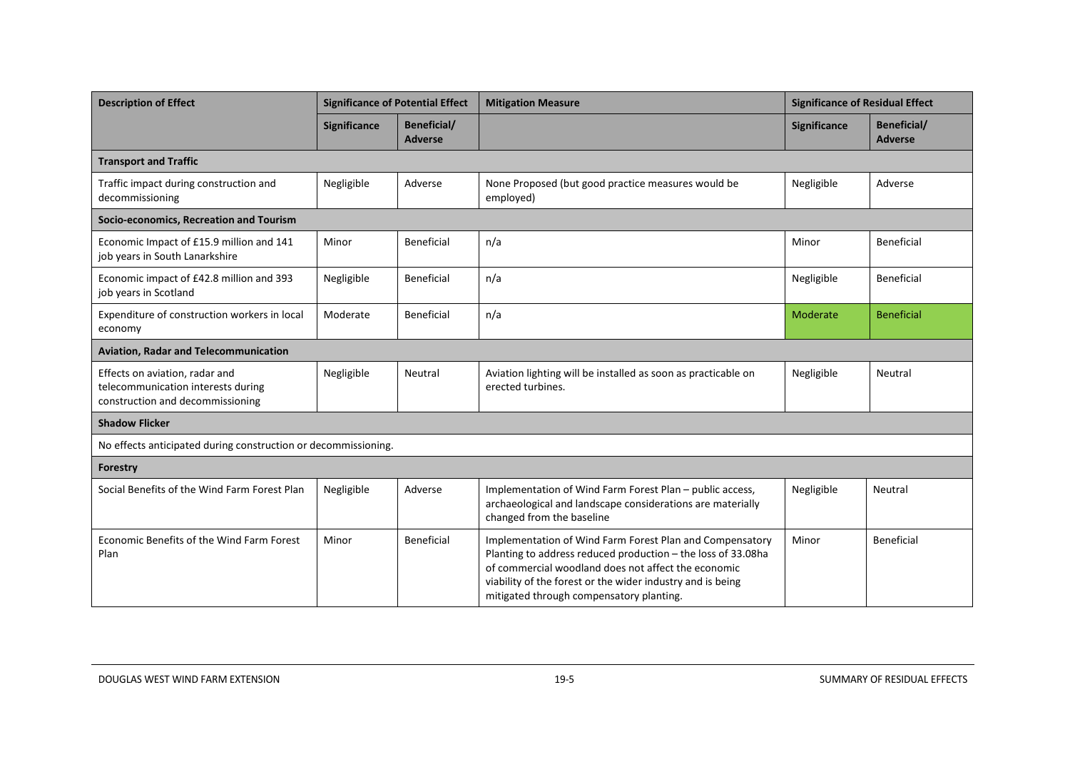| <b>Description of Effect</b>                                                                             | <b>Significance of Potential Effect</b> |                                      | <b>Mitigation Measure</b>                                                                                                                                                                                                                                                                 | <b>Significance of Residual Effect</b> |                                      |  |  |  |  |
|----------------------------------------------------------------------------------------------------------|-----------------------------------------|--------------------------------------|-------------------------------------------------------------------------------------------------------------------------------------------------------------------------------------------------------------------------------------------------------------------------------------------|----------------------------------------|--------------------------------------|--|--|--|--|
|                                                                                                          | Significance                            | <b>Beneficial/</b><br><b>Adverse</b> |                                                                                                                                                                                                                                                                                           | Significance                           | <b>Beneficial/</b><br><b>Adverse</b> |  |  |  |  |
| <b>Transport and Traffic</b>                                                                             |                                         |                                      |                                                                                                                                                                                                                                                                                           |                                        |                                      |  |  |  |  |
| Traffic impact during construction and<br>decommissioning                                                | Negligible                              | Adverse                              | None Proposed (but good practice measures would be<br>employed)                                                                                                                                                                                                                           | Negligible                             | Adverse                              |  |  |  |  |
| Socio-economics, Recreation and Tourism                                                                  |                                         |                                      |                                                                                                                                                                                                                                                                                           |                                        |                                      |  |  |  |  |
| Economic Impact of £15.9 million and 141<br>job years in South Lanarkshire                               | Minor                                   | Beneficial                           | n/a                                                                                                                                                                                                                                                                                       | Minor                                  | Beneficial                           |  |  |  |  |
| Economic impact of £42.8 million and 393<br>job years in Scotland                                        | Negligible                              | Beneficial                           | n/a                                                                                                                                                                                                                                                                                       | Negligible                             | <b>Beneficial</b>                    |  |  |  |  |
| Expenditure of construction workers in local<br>economy                                                  | Moderate                                | <b>Beneficial</b>                    | n/a                                                                                                                                                                                                                                                                                       | Moderate                               | <b>Beneficial</b>                    |  |  |  |  |
| Aviation, Radar and Telecommunication                                                                    |                                         |                                      |                                                                                                                                                                                                                                                                                           |                                        |                                      |  |  |  |  |
| Effects on aviation, radar and<br>telecommunication interests during<br>construction and decommissioning | Negligible                              | Neutral                              | Aviation lighting will be installed as soon as practicable on<br>erected turbines.                                                                                                                                                                                                        | Negligible                             | Neutral                              |  |  |  |  |
| <b>Shadow Flicker</b>                                                                                    |                                         |                                      |                                                                                                                                                                                                                                                                                           |                                        |                                      |  |  |  |  |
| No effects anticipated during construction or decommissioning.                                           |                                         |                                      |                                                                                                                                                                                                                                                                                           |                                        |                                      |  |  |  |  |
| <b>Forestry</b>                                                                                          |                                         |                                      |                                                                                                                                                                                                                                                                                           |                                        |                                      |  |  |  |  |
| Social Benefits of the Wind Farm Forest Plan                                                             | Negligible                              | Adverse                              | Implementation of Wind Farm Forest Plan - public access,<br>archaeological and landscape considerations are materially<br>changed from the baseline                                                                                                                                       | Negligible                             | Neutral                              |  |  |  |  |
| Economic Benefits of the Wind Farm Forest<br>Plan                                                        | Minor                                   | Beneficial                           | Implementation of Wind Farm Forest Plan and Compensatory<br>Planting to address reduced production - the loss of 33.08ha<br>of commercial woodland does not affect the economic<br>viability of the forest or the wider industry and is being<br>mitigated through compensatory planting. | Minor                                  | <b>Beneficial</b>                    |  |  |  |  |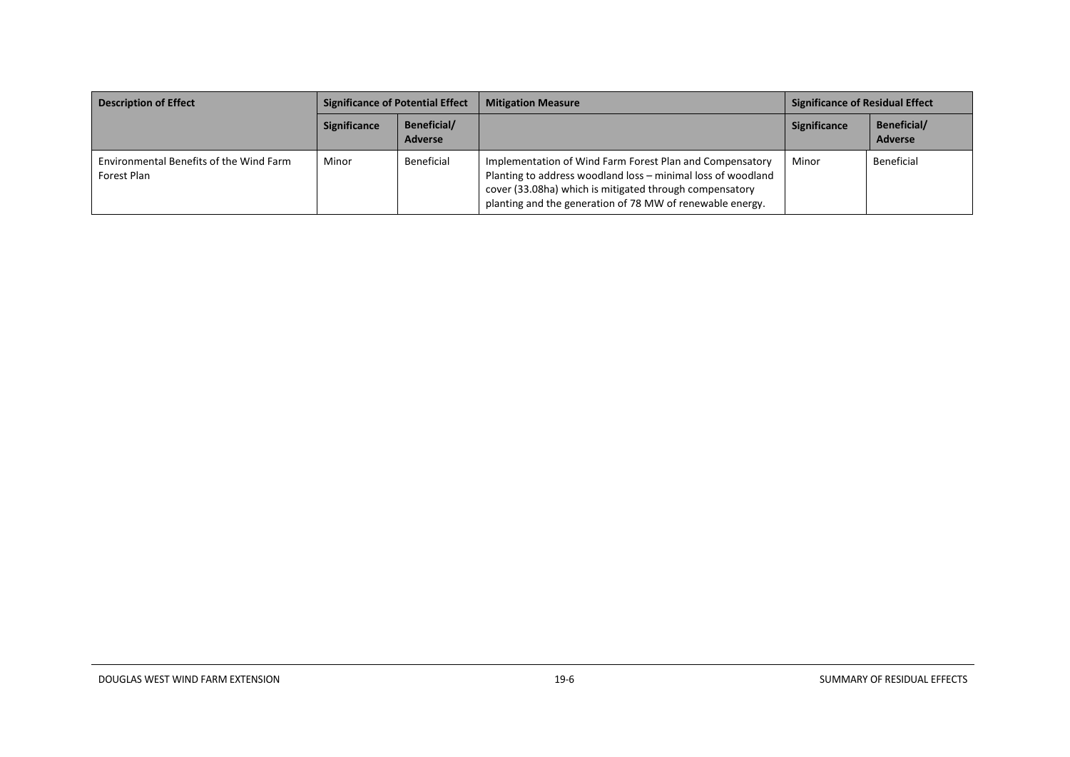| <b>Description of Effect</b>                           | <b>Significance of Potential Effect</b> |                               | <b>Mitigation Measure</b>                                                                                                                                                                                                                        | <b>Significance of Residual Effect</b> |                               |
|--------------------------------------------------------|-----------------------------------------|-------------------------------|--------------------------------------------------------------------------------------------------------------------------------------------------------------------------------------------------------------------------------------------------|----------------------------------------|-------------------------------|
|                                                        | Significance                            | Beneficial/<br><b>Adverse</b> |                                                                                                                                                                                                                                                  | Significance                           | Beneficial/<br><b>Adverse</b> |
| Environmental Benefits of the Wind Farm<br>Forest Plan | Minor                                   | Beneficial                    | Implementation of Wind Farm Forest Plan and Compensatory<br>Planting to address woodland loss - minimal loss of woodland<br>cover (33.08ha) which is mitigated through compensatory<br>planting and the generation of 78 MW of renewable energy. | Minor                                  | Beneficial                    |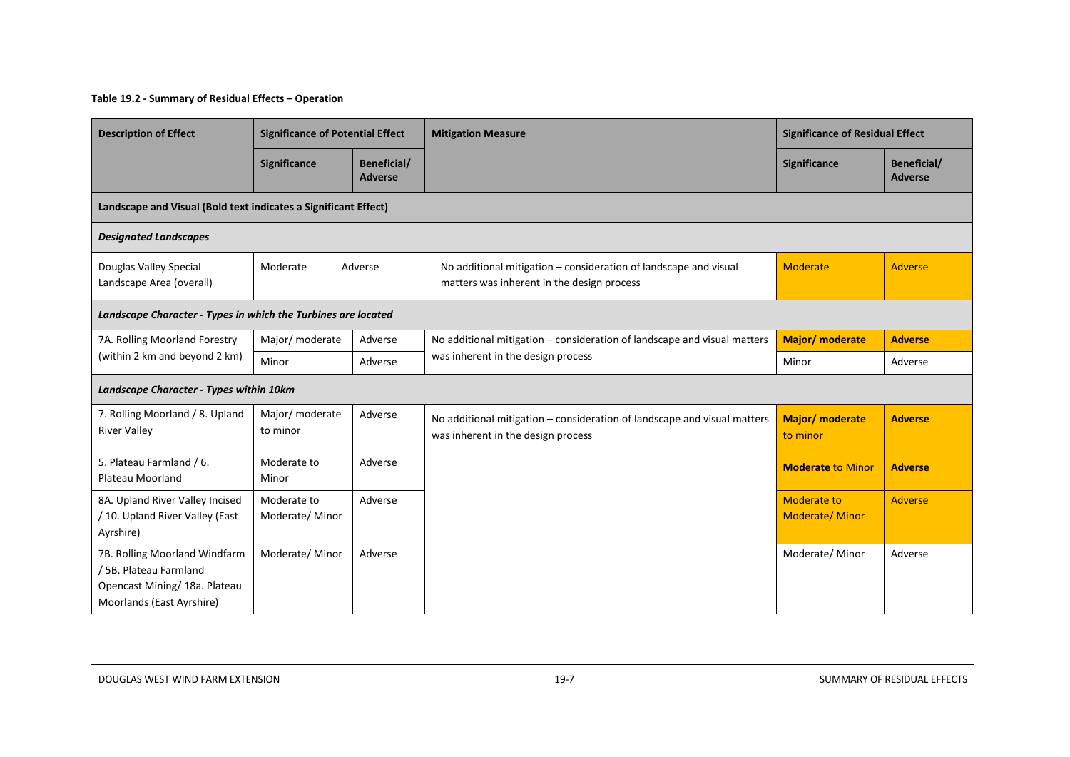### **Table 19.2 - Summary of Residual Effects – Operation**

<span id="page-8-0"></span>

| <b>Description of Effect</b>                                                                                          | <b>Significance of Potential Effect</b> |                               | <b>Mitigation Measure</b>                                                                                      | <b>Significance of Residual Effect</b>      |                               |  |  |
|-----------------------------------------------------------------------------------------------------------------------|-----------------------------------------|-------------------------------|----------------------------------------------------------------------------------------------------------------|---------------------------------------------|-------------------------------|--|--|
|                                                                                                                       | Significance                            | Beneficial/<br><b>Adverse</b> |                                                                                                                | Significance                                | Beneficial/<br><b>Adverse</b> |  |  |
| Landscape and Visual (Bold text indicates a Significant Effect)                                                       |                                         |                               |                                                                                                                |                                             |                               |  |  |
| <b>Designated Landscapes</b>                                                                                          |                                         |                               |                                                                                                                |                                             |                               |  |  |
| Douglas Valley Special<br>Landscape Area (overall)                                                                    | Moderate                                | Adverse                       | No additional mitigation - consideration of landscape and visual<br>matters was inherent in the design process | <b>Moderate</b>                             | Adverse                       |  |  |
| Landscape Character - Types in which the Turbines are located                                                         |                                         |                               |                                                                                                                |                                             |                               |  |  |
| 7A. Rolling Moorland Forestry                                                                                         | Major/ moderate                         | Adverse                       | No additional mitigation - consideration of landscape and visual matters<br>was inherent in the design process | Major/ moderate                             | <b>Adverse</b>                |  |  |
| (within 2 km and beyond 2 km)                                                                                         | Minor                                   | Adverse                       |                                                                                                                | Minor                                       | Adverse                       |  |  |
| Landscape Character - Types within 10km                                                                               |                                         |                               |                                                                                                                |                                             |                               |  |  |
| 7. Rolling Moorland / 8. Upland<br><b>River Valley</b>                                                                | Major/ moderate<br>to minor             | Adverse                       | No additional mitigation - consideration of landscape and visual matters<br>was inherent in the design process | Major/ moderate<br>to minor                 | <b>Adverse</b>                |  |  |
| 5. Plateau Farmland / 6.<br>Plateau Moorland                                                                          | Moderate to<br>Minor                    | Adverse                       |                                                                                                                | <b>Moderate to Minor</b>                    | <b>Adverse</b>                |  |  |
| 8A. Upland River Valley Incised<br>/ 10. Upland River Valley (East<br>Ayrshire)                                       | Moderate to<br>Moderate/Minor           | Adverse                       |                                                                                                                | <b>Moderate to</b><br><b>Moderate/Minor</b> | Adverse                       |  |  |
| 7B. Rolling Moorland Windfarm<br>/ 5B. Plateau Farmland<br>Opencast Mining/ 18a. Plateau<br>Moorlands (East Ayrshire) | Moderate/Minor                          | Adverse                       |                                                                                                                | Moderate/Minor                              | Adverse                       |  |  |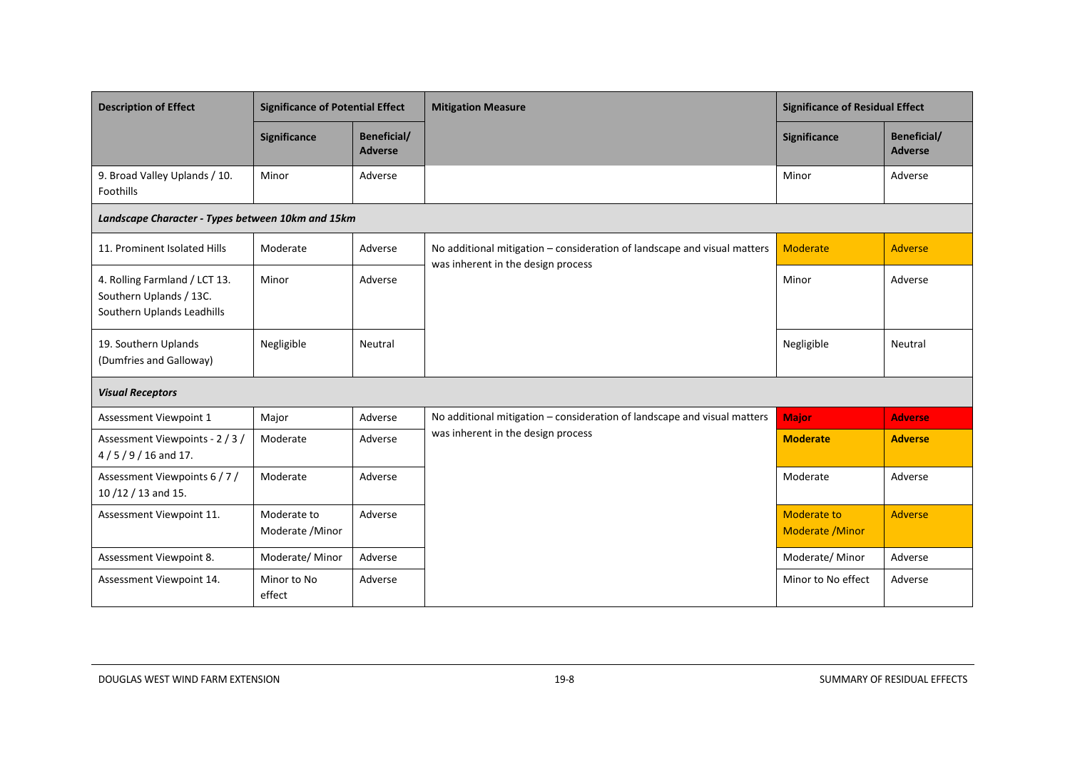| <b>Description of Effect</b>                                                           | <b>Significance of Potential Effect</b> |                               | <b>Mitigation Measure</b>                                                | <b>Significance of Residual Effect</b>        |                               |
|----------------------------------------------------------------------------------------|-----------------------------------------|-------------------------------|--------------------------------------------------------------------------|-----------------------------------------------|-------------------------------|
|                                                                                        | Significance                            | Beneficial/<br><b>Adverse</b> |                                                                          | Significance                                  | Beneficial/<br><b>Adverse</b> |
| 9. Broad Valley Uplands / 10.<br>Foothills                                             | Minor                                   | Adverse                       |                                                                          | Minor                                         | Adverse                       |
| Landscape Character - Types between 10km and 15km                                      |                                         |                               |                                                                          |                                               |                               |
| 11. Prominent Isolated Hills                                                           | Moderate                                | Adverse                       | No additional mitigation - consideration of landscape and visual matters | <b>Moderate</b>                               | Adverse                       |
| 4. Rolling Farmland / LCT 13.<br>Southern Uplands / 13C.<br>Southern Uplands Leadhills | Minor                                   | Adverse                       | was inherent in the design process                                       | Minor                                         | Adverse                       |
| 19. Southern Uplands<br>(Dumfries and Galloway)                                        | Negligible                              | Neutral                       |                                                                          | Negligible                                    | Neutral                       |
| <b>Visual Receptors</b>                                                                |                                         |                               |                                                                          |                                               |                               |
| Assessment Viewpoint 1                                                                 | Major                                   | Adverse                       | No additional mitigation - consideration of landscape and visual matters | <b>Major</b>                                  | <b>Adverse</b>                |
| Assessment Viewpoints - 2 / 3 /<br>$4/5/9/16$ and 17.                                  | Moderate                                | Adverse                       | was inherent in the design process                                       | <b>Moderate</b>                               | <b>Adverse</b>                |
| Assessment Viewpoints 6 / 7 /<br>10/12/13 and 15.                                      | Moderate                                | Adverse                       |                                                                          | Moderate                                      | Adverse                       |
| Assessment Viewpoint 11.                                                               | Moderate to<br>Moderate / Minor         | Adverse                       |                                                                          | <b>Moderate to</b><br><b>Moderate / Minor</b> | Adverse                       |
| Assessment Viewpoint 8.                                                                | Moderate/Minor                          | Adverse                       |                                                                          | Moderate/Minor                                | Adverse                       |
| Assessment Viewpoint 14.                                                               | Minor to No<br>effect                   | Adverse                       |                                                                          | Minor to No effect                            | Adverse                       |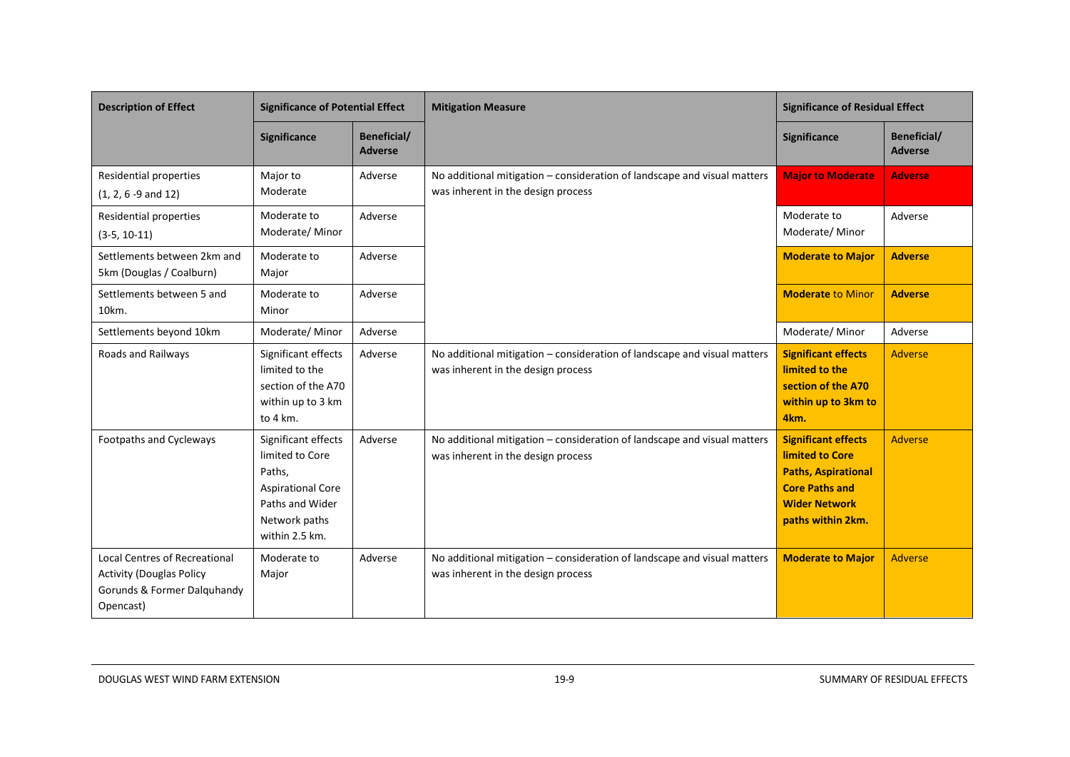| <b>Description of Effect</b>                                                                                        | <b>Significance of Potential Effect</b>                                                                                            |                               | <b>Mitigation Measure</b>                                                                                      | <b>Significance of Residual Effect</b>                                                                                                                   |                                      |
|---------------------------------------------------------------------------------------------------------------------|------------------------------------------------------------------------------------------------------------------------------------|-------------------------------|----------------------------------------------------------------------------------------------------------------|----------------------------------------------------------------------------------------------------------------------------------------------------------|--------------------------------------|
|                                                                                                                     | Significance                                                                                                                       | Beneficial/<br><b>Adverse</b> |                                                                                                                | <b>Significance</b>                                                                                                                                      | <b>Beneficial/</b><br><b>Adverse</b> |
| Residential properties<br>$(1, 2, 6 - 9$ and $12)$                                                                  | Major to<br>Moderate                                                                                                               | Adverse                       | No additional mitigation - consideration of landscape and visual matters<br>was inherent in the design process | <b>Major to Moderate</b>                                                                                                                                 | <b>Adverse</b>                       |
| Residential properties<br>$(3-5, 10-11)$                                                                            | Moderate to<br>Moderate/ Minor                                                                                                     | Adverse                       |                                                                                                                | Moderate to<br>Moderate/Minor                                                                                                                            | Adverse                              |
| Settlements between 2km and<br>5km (Douglas / Coalburn)                                                             | Moderate to<br>Major                                                                                                               | Adverse                       |                                                                                                                | <b>Moderate to Major</b>                                                                                                                                 | <b>Adverse</b>                       |
| Settlements between 5 and<br>10km.                                                                                  | Moderate to<br>Minor                                                                                                               | Adverse                       |                                                                                                                | <b>Moderate to Minor</b>                                                                                                                                 | <b>Adverse</b>                       |
| Settlements beyond 10km                                                                                             | Moderate/ Minor                                                                                                                    | Adverse                       |                                                                                                                | Moderate/Minor                                                                                                                                           | Adverse                              |
| Roads and Railways                                                                                                  | Significant effects<br>limited to the<br>section of the A70<br>within up to 3 km<br>to 4 km.                                       | Adverse                       | No additional mitigation - consideration of landscape and visual matters<br>was inherent in the design process | <b>Significant effects</b><br>limited to the<br>section of the A70<br>within up to 3km to<br>4km.                                                        | Adverse                              |
| Footpaths and Cycleways                                                                                             | Significant effects<br>limited to Core<br>Paths,<br><b>Aspirational Core</b><br>Paths and Wider<br>Network paths<br>within 2.5 km. | Adverse                       | No additional mitigation - consideration of landscape and visual matters<br>was inherent in the design process | <b>Significant effects</b><br><b>limited to Core</b><br><b>Paths, Aspirational</b><br><b>Core Paths and</b><br><b>Wider Network</b><br>paths within 2km. | <b>Adverse</b>                       |
| <b>Local Centres of Recreational</b><br><b>Activity (Douglas Policy</b><br>Gorunds & Former Dalquhandy<br>Opencast) | Moderate to<br>Major                                                                                                               | Adverse                       | No additional mitigation - consideration of landscape and visual matters<br>was inherent in the design process | <b>Moderate to Major</b>                                                                                                                                 | Adverse                              |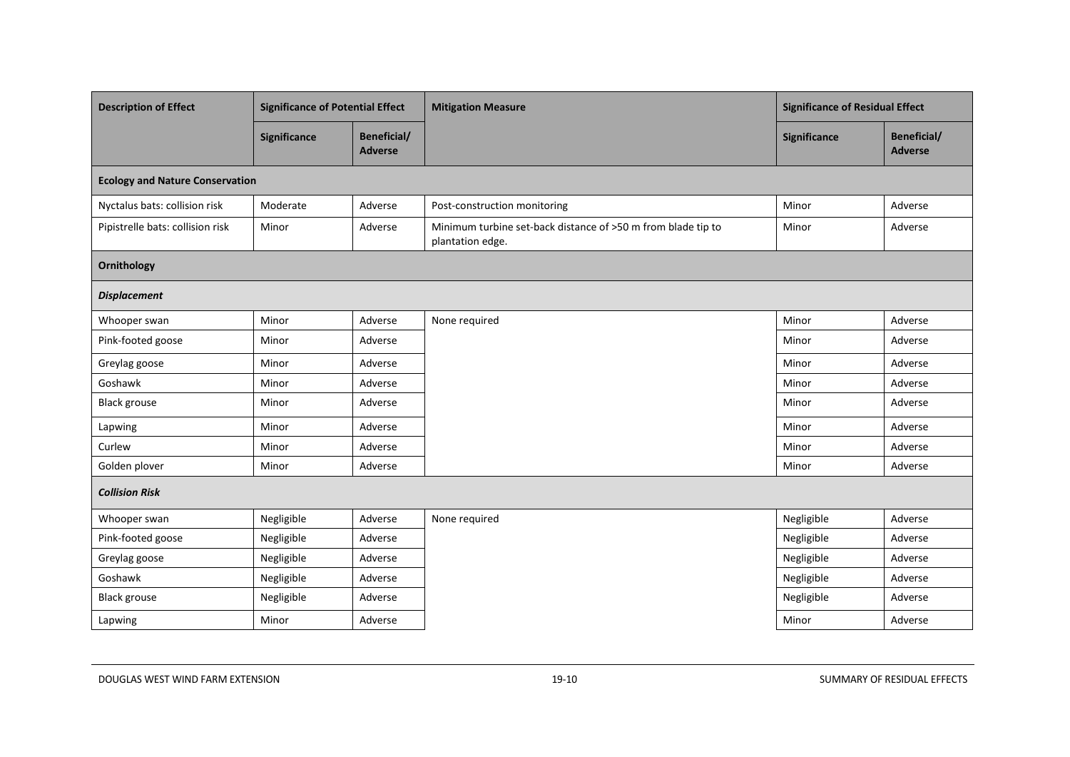| <b>Description of Effect</b>           | <b>Significance of Potential Effect</b> |                               | <b>Mitigation Measure</b>                                                        | <b>Significance of Residual Effect</b> |                               |  |  |  |
|----------------------------------------|-----------------------------------------|-------------------------------|----------------------------------------------------------------------------------|----------------------------------------|-------------------------------|--|--|--|
|                                        | Significance                            | Beneficial/<br><b>Adverse</b> |                                                                                  | Significance                           | Beneficial/<br><b>Adverse</b> |  |  |  |
| <b>Ecology and Nature Conservation</b> |                                         |                               |                                                                                  |                                        |                               |  |  |  |
| Nyctalus bats: collision risk          | Moderate                                | Adverse                       | Post-construction monitoring                                                     | Minor                                  | Adverse                       |  |  |  |
| Pipistrelle bats: collision risk       | Minor                                   | Adverse                       | Minimum turbine set-back distance of >50 m from blade tip to<br>plantation edge. | Minor                                  | Adverse                       |  |  |  |
| Ornithology                            |                                         |                               |                                                                                  |                                        |                               |  |  |  |
| <b>Displacement</b>                    |                                         |                               |                                                                                  |                                        |                               |  |  |  |
| Whooper swan                           | Minor                                   | Adverse                       | None required                                                                    | Minor                                  | Adverse                       |  |  |  |
| Pink-footed goose                      | Minor                                   | Adverse                       |                                                                                  | Minor                                  | Adverse                       |  |  |  |
| Greylag goose                          | Minor                                   | Adverse                       |                                                                                  | Minor                                  | Adverse                       |  |  |  |
| Goshawk                                | Minor                                   | Adverse                       |                                                                                  | Minor                                  | Adverse                       |  |  |  |
| <b>Black grouse</b>                    | Minor                                   | Adverse                       |                                                                                  | Minor                                  | Adverse                       |  |  |  |
| Lapwing                                | Minor                                   | Adverse                       |                                                                                  | Minor                                  | Adverse                       |  |  |  |
| Curlew                                 | Minor                                   | Adverse                       |                                                                                  | Minor                                  | Adverse                       |  |  |  |
| Golden plover                          | Minor                                   | Adverse                       |                                                                                  | Minor                                  | Adverse                       |  |  |  |
| <b>Collision Risk</b>                  |                                         |                               |                                                                                  |                                        |                               |  |  |  |
| Whooper swan                           | Negligible                              | Adverse                       | None required                                                                    | Negligible                             | Adverse                       |  |  |  |
| Pink-footed goose                      | Negligible                              | Adverse                       |                                                                                  | Negligible                             | Adverse                       |  |  |  |
| Greylag goose                          | Negligible                              | Adverse                       |                                                                                  | Negligible                             | Adverse                       |  |  |  |
| Goshawk                                | Negligible                              | Adverse                       |                                                                                  | Negligible                             | Adverse                       |  |  |  |
| <b>Black grouse</b>                    | Negligible                              | Adverse                       |                                                                                  | Negligible                             | Adverse                       |  |  |  |
| Lapwing                                | Minor                                   | Adverse                       |                                                                                  | Minor                                  | Adverse                       |  |  |  |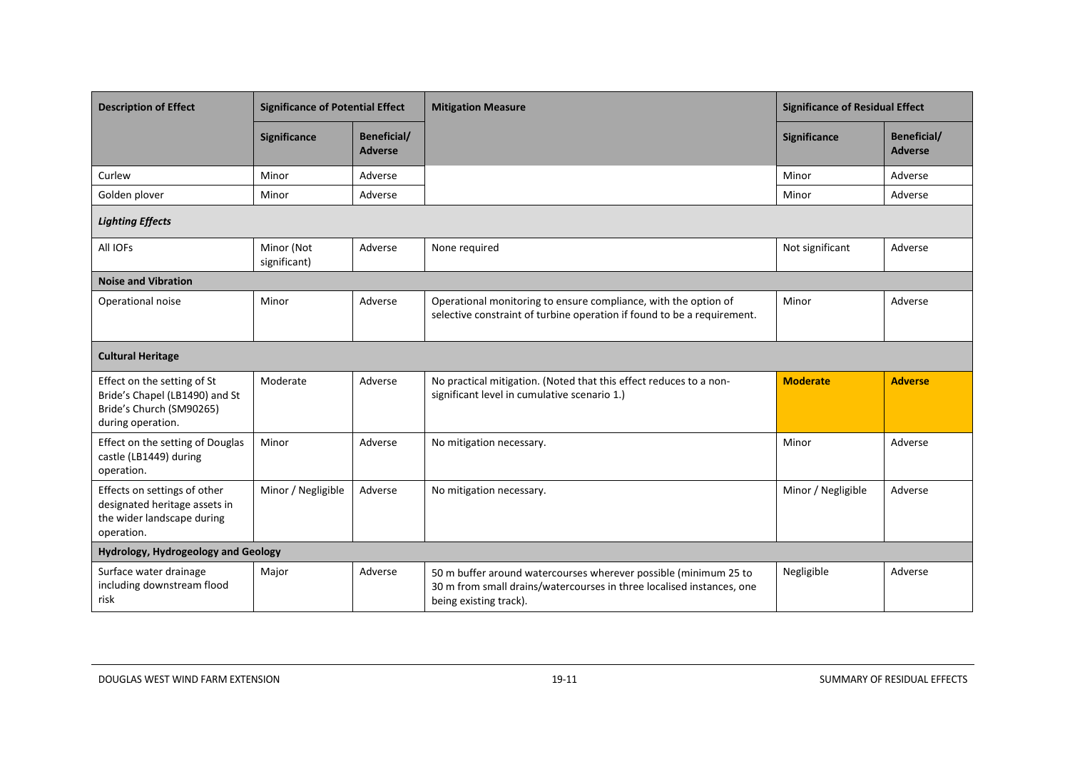| <b>Description of Effect</b>                                                                                   | <b>Significance of Potential Effect</b> |                               | <b>Mitigation Measure</b>                                                                                                                                           | <b>Significance of Residual Effect</b> |                               |
|----------------------------------------------------------------------------------------------------------------|-----------------------------------------|-------------------------------|---------------------------------------------------------------------------------------------------------------------------------------------------------------------|----------------------------------------|-------------------------------|
|                                                                                                                | Significance                            | Beneficial/<br><b>Adverse</b> |                                                                                                                                                                     | Significance                           | Beneficial/<br><b>Adverse</b> |
| Curlew                                                                                                         | Minor                                   | Adverse                       |                                                                                                                                                                     | Minor                                  | Adverse                       |
| Golden plover                                                                                                  | Minor                                   | Adverse                       |                                                                                                                                                                     | Minor                                  | Adverse                       |
| <b>Lighting Effects</b>                                                                                        |                                         |                               |                                                                                                                                                                     |                                        |                               |
| All IOFs                                                                                                       | Minor (Not<br>significant)              | Adverse                       | None required                                                                                                                                                       | Not significant                        | Adverse                       |
| <b>Noise and Vibration</b>                                                                                     |                                         |                               |                                                                                                                                                                     |                                        |                               |
| Operational noise                                                                                              | Minor                                   | Adverse                       | Operational monitoring to ensure compliance, with the option of<br>selective constraint of turbine operation if found to be a requirement.                          | Minor                                  | Adverse                       |
| <b>Cultural Heritage</b>                                                                                       |                                         |                               |                                                                                                                                                                     |                                        |                               |
| Effect on the setting of St<br>Bride's Chapel (LB1490) and St<br>Bride's Church (SM90265)<br>during operation. | Moderate                                | Adverse                       | No practical mitigation. (Noted that this effect reduces to a non-<br>significant level in cumulative scenario 1.)                                                  | <b>Moderate</b>                        | <b>Adverse</b>                |
| Effect on the setting of Douglas<br>castle (LB1449) during<br>operation.                                       | Minor                                   | Adverse                       | No mitigation necessary.                                                                                                                                            | Minor                                  | Adverse                       |
| Effects on settings of other<br>designated heritage assets in<br>the wider landscape during<br>operation.      | Minor / Negligible                      | Adverse                       | No mitigation necessary.                                                                                                                                            | Minor / Negligible                     | Adverse                       |
| Hydrology, Hydrogeology and Geology                                                                            |                                         |                               |                                                                                                                                                                     |                                        |                               |
| Surface water drainage<br>including downstream flood<br>risk                                                   | Major                                   | Adverse                       | 50 m buffer around watercourses wherever possible (minimum 25 to<br>30 m from small drains/watercourses in three localised instances, one<br>being existing track). | Negligible                             | Adverse                       |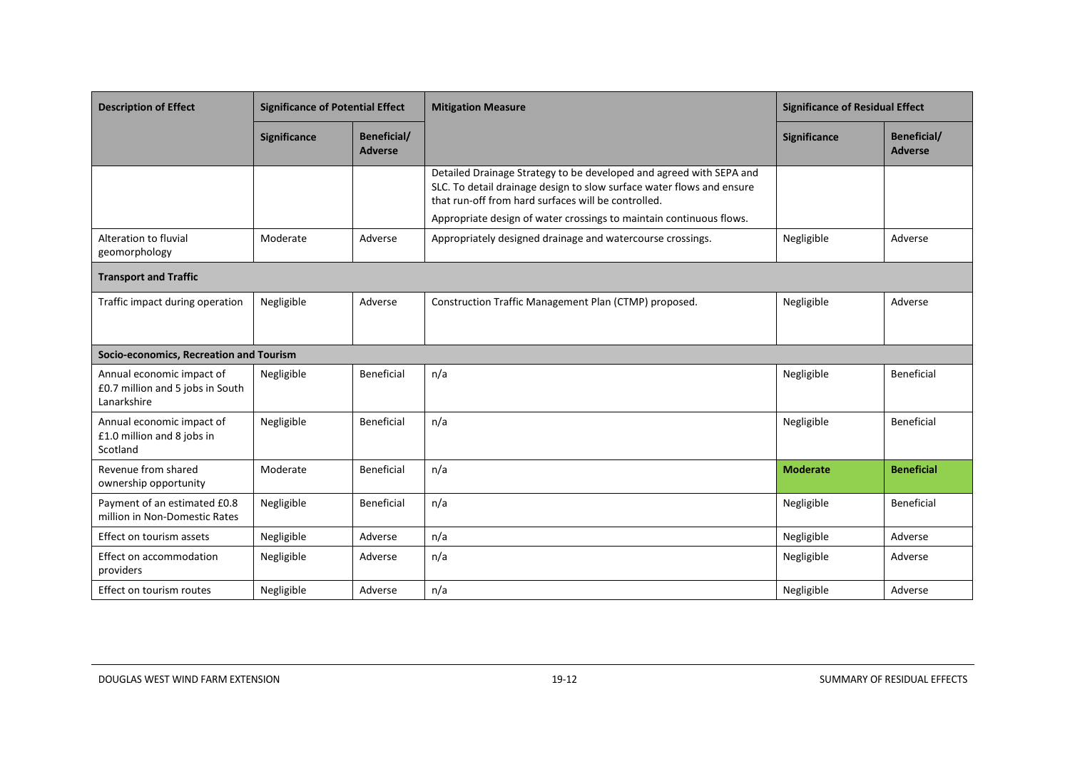| <b>Description of Effect</b>                                                 | <b>Significance of Potential Effect</b> |                               | <b>Mitigation Measure</b>                                                                                                                                                                                                                                                  | <b>Significance of Residual Effect</b> |                               |  |  |
|------------------------------------------------------------------------------|-----------------------------------------|-------------------------------|----------------------------------------------------------------------------------------------------------------------------------------------------------------------------------------------------------------------------------------------------------------------------|----------------------------------------|-------------------------------|--|--|
|                                                                              | Significance                            | Beneficial/<br><b>Adverse</b> |                                                                                                                                                                                                                                                                            | Significance                           | Beneficial/<br><b>Adverse</b> |  |  |
|                                                                              |                                         |                               | Detailed Drainage Strategy to be developed and agreed with SEPA and<br>SLC. To detail drainage design to slow surface water flows and ensure<br>that run-off from hard surfaces will be controlled.<br>Appropriate design of water crossings to maintain continuous flows. |                                        |                               |  |  |
| Alteration to fluvial<br>geomorphology                                       | Moderate                                | Adverse                       | Appropriately designed drainage and watercourse crossings.                                                                                                                                                                                                                 | Negligible                             | Adverse                       |  |  |
| <b>Transport and Traffic</b>                                                 |                                         |                               |                                                                                                                                                                                                                                                                            |                                        |                               |  |  |
| Traffic impact during operation                                              | Negligible                              | Adverse                       | Construction Traffic Management Plan (CTMP) proposed.                                                                                                                                                                                                                      | Negligible                             | Adverse                       |  |  |
| Socio-economics, Recreation and Tourism                                      |                                         |                               |                                                                                                                                                                                                                                                                            |                                        |                               |  |  |
| Annual economic impact of<br>£0.7 million and 5 jobs in South<br>Lanarkshire | Negligible                              | Beneficial                    | n/a                                                                                                                                                                                                                                                                        | Negligible                             | Beneficial                    |  |  |
| Annual economic impact of<br>£1.0 million and 8 jobs in<br>Scotland          | Negligible                              | Beneficial                    | n/a                                                                                                                                                                                                                                                                        | Negligible                             | Beneficial                    |  |  |
| Revenue from shared<br>ownership opportunity                                 | Moderate                                | <b>Beneficial</b>             | n/a                                                                                                                                                                                                                                                                        | <b>Moderate</b>                        | <b>Beneficial</b>             |  |  |
| Payment of an estimated £0.8<br>million in Non-Domestic Rates                | Negligible                              | Beneficial                    | n/a                                                                                                                                                                                                                                                                        | Negligible                             | Beneficial                    |  |  |
| Effect on tourism assets                                                     | Negligible                              | Adverse                       | n/a                                                                                                                                                                                                                                                                        | Negligible                             | Adverse                       |  |  |
| Effect on accommodation<br>providers                                         | Negligible                              | Adverse                       | n/a                                                                                                                                                                                                                                                                        | Negligible                             | Adverse                       |  |  |
| Effect on tourism routes                                                     | Negligible                              | Adverse                       | n/a                                                                                                                                                                                                                                                                        | Negligible                             | Adverse                       |  |  |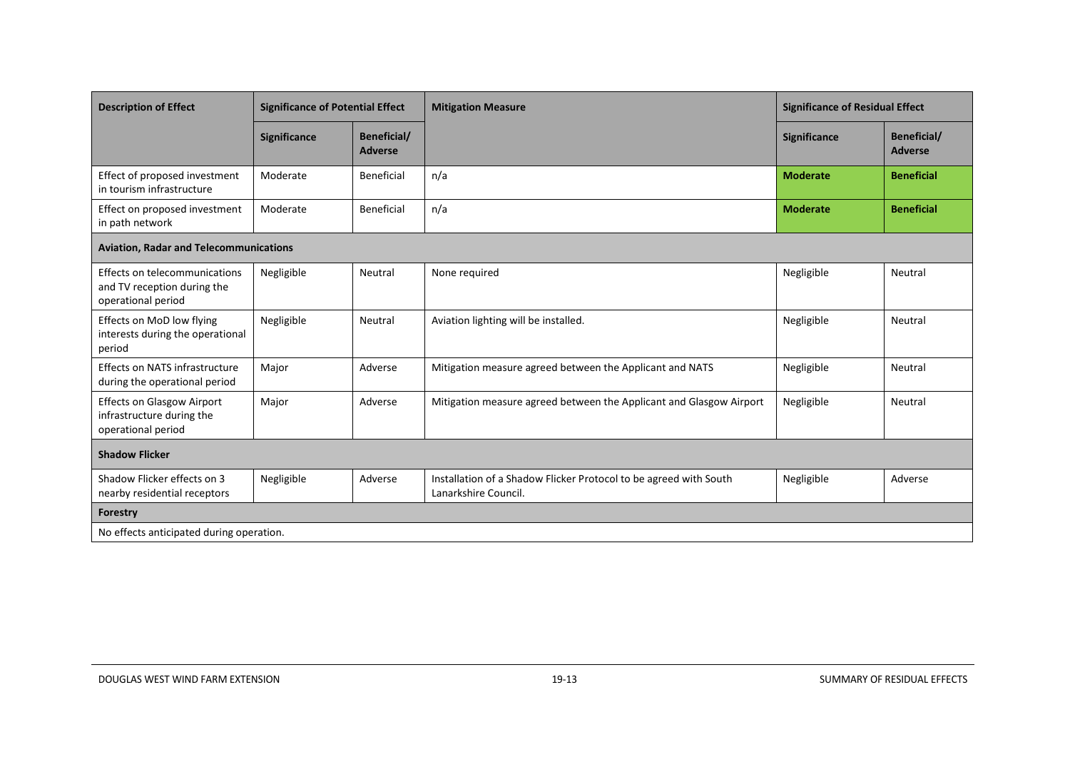| <b>Description of Effect</b>                                                         | <b>Significance of Potential Effect</b> |                                      | <b>Mitigation Measure</b>                                                                 | <b>Significance of Residual Effect</b> |                                      |
|--------------------------------------------------------------------------------------|-----------------------------------------|--------------------------------------|-------------------------------------------------------------------------------------------|----------------------------------------|--------------------------------------|
|                                                                                      | Significance                            | <b>Beneficial/</b><br><b>Adverse</b> |                                                                                           | Significance                           | <b>Beneficial/</b><br><b>Adverse</b> |
| Effect of proposed investment<br>in tourism infrastructure                           | Moderate                                | Beneficial                           | n/a                                                                                       | <b>Moderate</b>                        | <b>Beneficial</b>                    |
| Effect on proposed investment<br>in path network                                     | Moderate                                | <b>Beneficial</b>                    | n/a                                                                                       | <b>Moderate</b>                        | <b>Beneficial</b>                    |
| <b>Aviation, Radar and Telecommunications</b>                                        |                                         |                                      |                                                                                           |                                        |                                      |
| Effects on telecommunications<br>and TV reception during the<br>operational period   | Negligible                              | Neutral                              | None required                                                                             | Negligible                             | Neutral                              |
| Effects on MoD low flying<br>interests during the operational<br>period              | Negligible                              | Neutral                              | Aviation lighting will be installed.                                                      | Negligible                             | Neutral                              |
| Effects on NATS infrastructure<br>during the operational period                      | Major                                   | Adverse                              | Mitigation measure agreed between the Applicant and NATS                                  | Negligible                             | Neutral                              |
| <b>Effects on Glasgow Airport</b><br>infrastructure during the<br>operational period | Major                                   | Adverse                              | Mitigation measure agreed between the Applicant and Glasgow Airport                       | Negligible                             | Neutral                              |
| <b>Shadow Flicker</b>                                                                |                                         |                                      |                                                                                           |                                        |                                      |
| Shadow Flicker effects on 3<br>nearby residential receptors                          | Negligible                              | Adverse                              | Installation of a Shadow Flicker Protocol to be agreed with South<br>Lanarkshire Council. | Negligible                             | Adverse                              |
| Forestry                                                                             |                                         |                                      |                                                                                           |                                        |                                      |
| No effects anticipated during operation.                                             |                                         |                                      |                                                                                           |                                        |                                      |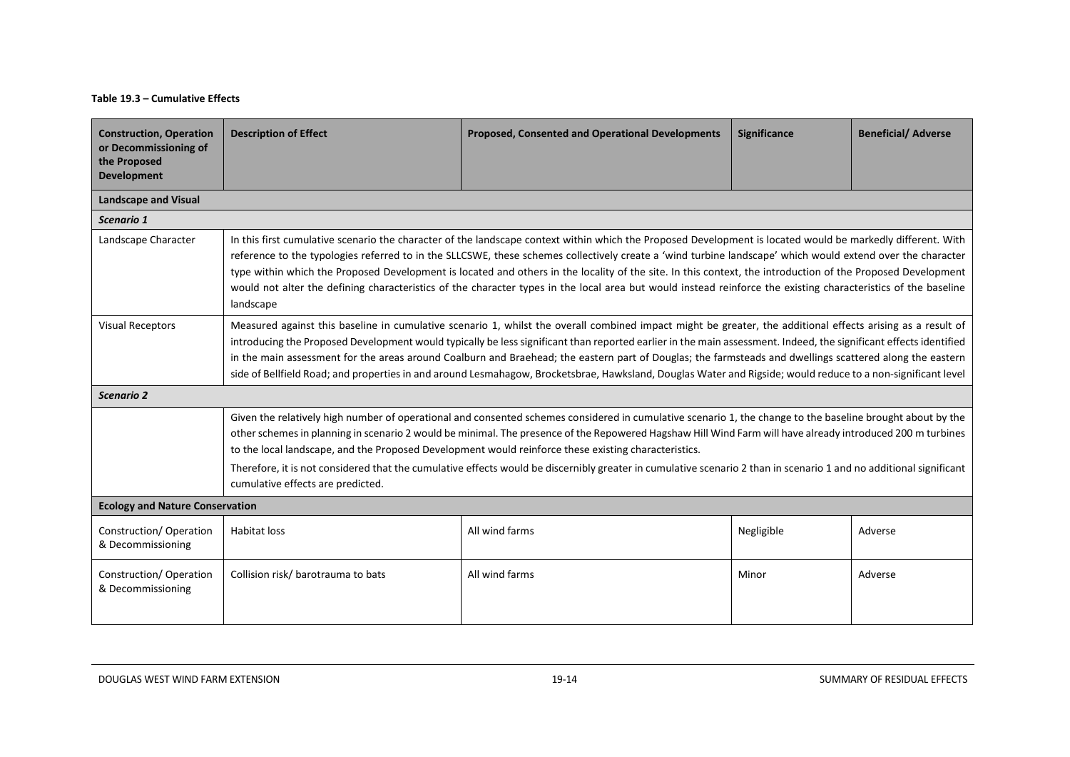#### **Table 19.3 – Cumulative Effects**

<span id="page-15-0"></span>

| <b>Construction, Operation</b><br>or Decommissioning of<br>the Proposed<br><b>Development</b> | <b>Description of Effect</b>                                                                                                                                                                                                                                                                                                                                                                                                                                                                                                                                                                                                                                            | <b>Proposed, Consented and Operational Developments</b> | <b>Significance</b> | <b>Beneficial/ Adverse</b> |  |
|-----------------------------------------------------------------------------------------------|-------------------------------------------------------------------------------------------------------------------------------------------------------------------------------------------------------------------------------------------------------------------------------------------------------------------------------------------------------------------------------------------------------------------------------------------------------------------------------------------------------------------------------------------------------------------------------------------------------------------------------------------------------------------------|---------------------------------------------------------|---------------------|----------------------------|--|
| <b>Landscape and Visual</b>                                                                   |                                                                                                                                                                                                                                                                                                                                                                                                                                                                                                                                                                                                                                                                         |                                                         |                     |                            |  |
| Scenario 1                                                                                    |                                                                                                                                                                                                                                                                                                                                                                                                                                                                                                                                                                                                                                                                         |                                                         |                     |                            |  |
| Landscape Character                                                                           | In this first cumulative scenario the character of the landscape context within which the Proposed Development is located would be markedly different. With<br>reference to the typologies referred to in the SLLCSWE, these schemes collectively create a 'wind turbine landscape' which would extend over the character<br>type within which the Proposed Development is located and others in the locality of the site. In this context, the introduction of the Proposed Development<br>would not alter the defining characteristics of the character types in the local area but would instead reinforce the existing characteristics of the baseline<br>landscape |                                                         |                     |                            |  |
| <b>Visual Receptors</b>                                                                       | Measured against this baseline in cumulative scenario 1, whilst the overall combined impact might be greater, the additional effects arising as a result of<br>introducing the Proposed Development would typically be less significant than reported earlier in the main assessment. Indeed, the significant effects identified<br>in the main assessment for the areas around Coalburn and Braehead; the eastern part of Douglas; the farmsteads and dwellings scattered along the eastern<br>side of Bellfield Road; and properties in and around Lesmahagow, Brocketsbrae, Hawksland, Douglas Water and Rigside; would reduce to a non-significant level            |                                                         |                     |                            |  |
| Scenario 2                                                                                    |                                                                                                                                                                                                                                                                                                                                                                                                                                                                                                                                                                                                                                                                         |                                                         |                     |                            |  |
|                                                                                               | Given the relatively high number of operational and consented schemes considered in cumulative scenario 1, the change to the baseline brought about by the<br>other schemes in planning in scenario 2 would be minimal. The presence of the Repowered Hagshaw Hill Wind Farm will have already introduced 200 m turbines<br>to the local landscape, and the Proposed Development would reinforce these existing characteristics.<br>Therefore, it is not considered that the cumulative effects would be discernibly greater in cumulative scenario 2 than in scenario 1 and no additional significant<br>cumulative effects are predicted.                             |                                                         |                     |                            |  |
| <b>Ecology and Nature Conservation</b>                                                        |                                                                                                                                                                                                                                                                                                                                                                                                                                                                                                                                                                                                                                                                         |                                                         |                     |                            |  |
| Construction/Operation<br>& Decommissioning                                                   | <b>Habitat loss</b>                                                                                                                                                                                                                                                                                                                                                                                                                                                                                                                                                                                                                                                     | All wind farms                                          | Negligible          | Adverse                    |  |
| Construction/Operation<br>& Decommissioning                                                   | Collision risk/ barotrauma to bats                                                                                                                                                                                                                                                                                                                                                                                                                                                                                                                                                                                                                                      | All wind farms                                          | Minor               | Adverse                    |  |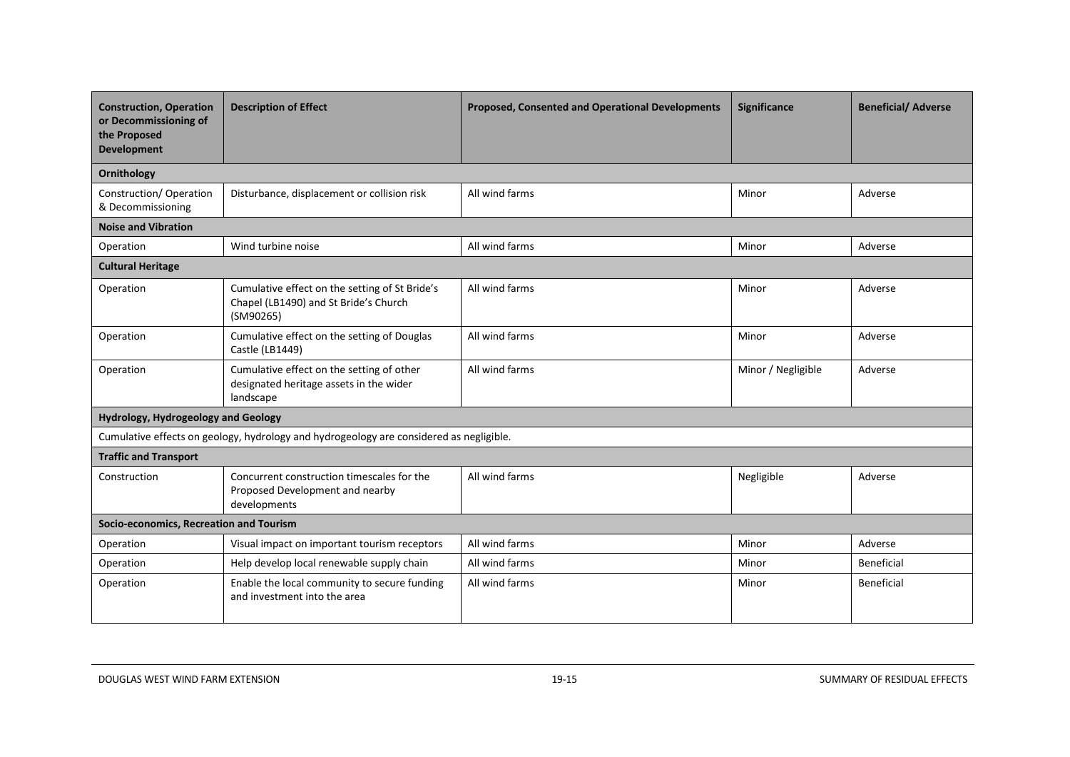| <b>Construction, Operation</b><br>or Decommissioning of | <b>Description of Effect</b>                                                                         | <b>Proposed, Consented and Operational Developments</b> | Significance       | <b>Beneficial/ Adverse</b> |  |
|---------------------------------------------------------|------------------------------------------------------------------------------------------------------|---------------------------------------------------------|--------------------|----------------------------|--|
| the Proposed<br><b>Development</b>                      |                                                                                                      |                                                         |                    |                            |  |
| Ornithology                                             |                                                                                                      |                                                         |                    |                            |  |
| Construction/Operation<br>& Decommissioning             | Disturbance, displacement or collision risk                                                          | All wind farms                                          | Minor              | Adverse                    |  |
| <b>Noise and Vibration</b>                              |                                                                                                      |                                                         |                    |                            |  |
| Operation                                               | Wind turbine noise                                                                                   | All wind farms                                          | Minor              | Adverse                    |  |
| <b>Cultural Heritage</b>                                |                                                                                                      |                                                         |                    |                            |  |
| Operation                                               | Cumulative effect on the setting of St Bride's<br>Chapel (LB1490) and St Bride's Church<br>(SM90265) | All wind farms                                          | Minor              | Adverse                    |  |
| Operation                                               | Cumulative effect on the setting of Douglas<br>Castle (LB1449)                                       | All wind farms                                          | Minor              | Adverse                    |  |
| Operation                                               | Cumulative effect on the setting of other<br>designated heritage assets in the wider<br>landscape    | All wind farms                                          | Minor / Negligible | Adverse                    |  |
| Hydrology, Hydrogeology and Geology                     |                                                                                                      |                                                         |                    |                            |  |
|                                                         | Cumulative effects on geology, hydrology and hydrogeology are considered as negligible.              |                                                         |                    |                            |  |
| <b>Traffic and Transport</b>                            |                                                                                                      |                                                         |                    |                            |  |
| Construction                                            | Concurrent construction timescales for the<br>Proposed Development and nearby<br>developments        | All wind farms                                          | Negligible         | Adverse                    |  |
| Socio-economics, Recreation and Tourism                 |                                                                                                      |                                                         |                    |                            |  |
| Operation                                               | Visual impact on important tourism receptors                                                         | All wind farms                                          | Minor              | Adverse                    |  |
| Operation                                               | Help develop local renewable supply chain                                                            | All wind farms                                          | Minor              | Beneficial                 |  |
| Operation                                               | Enable the local community to secure funding<br>and investment into the area                         | All wind farms                                          | Minor              | Beneficial                 |  |